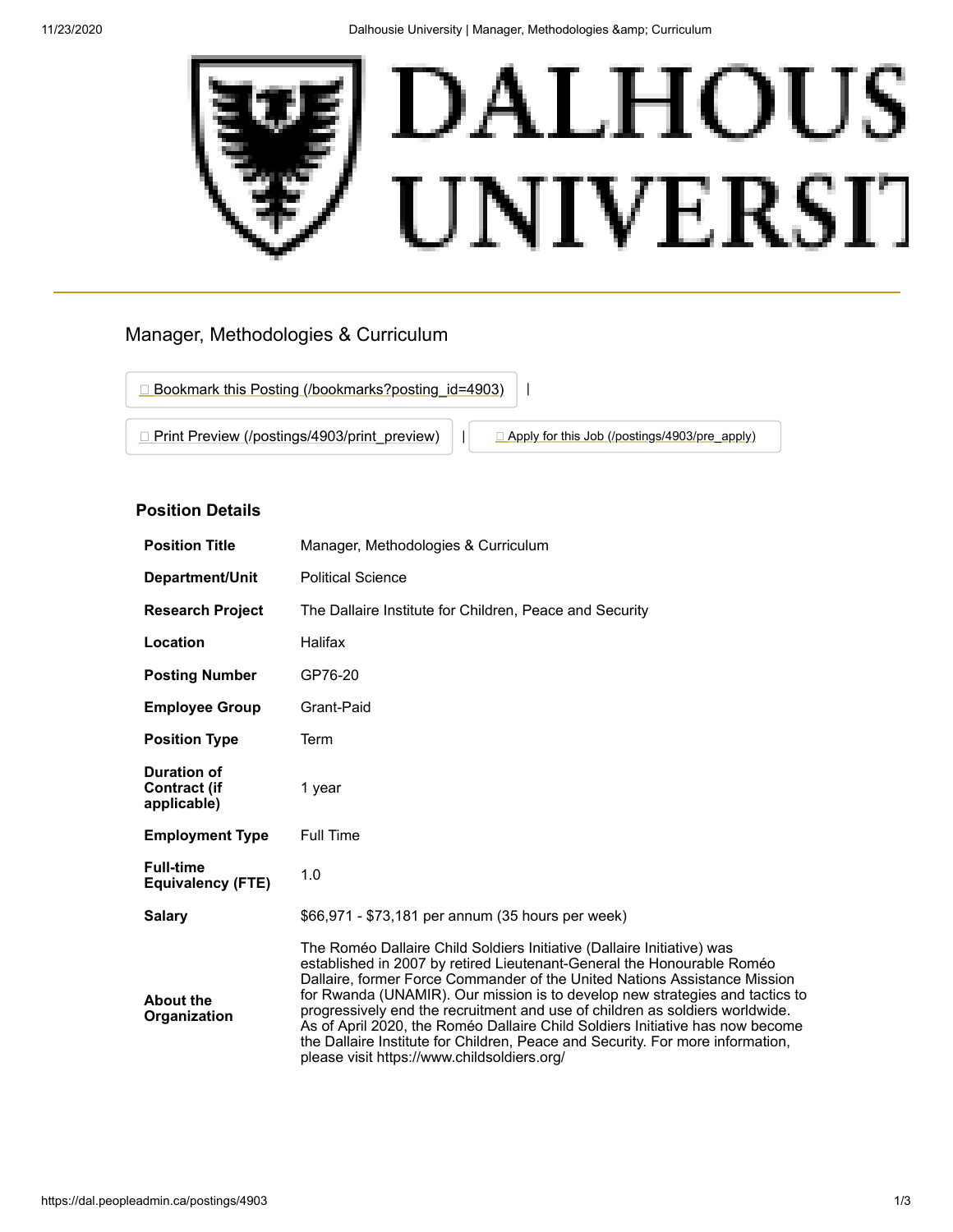

# Manager, Methodologies & Curriculum

□ [Bookmark this Posting \(/bookmarks?posting\\_id=4903\)](https://dal.peopleadmin.ca/bookmarks?posting_id=4903) | | **[Print Preview \(/postings/4903/print\\_preview\)](https://dal.peopleadmin.ca/postings/4903/print_preview)** | **[Apply for this Job \(/postings/4903/pre\\_apply\)](https://dal.peopleadmin.ca/postings/4903/pre_apply)** 

## **Position Details**

| <b>Position Title</b>                                    | Manager, Methodologies & Curriculum                                                                                                                                                                                                                                                                                                                                                                                                                                                                                                                                                                             |
|----------------------------------------------------------|-----------------------------------------------------------------------------------------------------------------------------------------------------------------------------------------------------------------------------------------------------------------------------------------------------------------------------------------------------------------------------------------------------------------------------------------------------------------------------------------------------------------------------------------------------------------------------------------------------------------|
| Department/Unit                                          | <b>Political Science</b>                                                                                                                                                                                                                                                                                                                                                                                                                                                                                                                                                                                        |
| <b>Research Project</b>                                  | The Dallaire Institute for Children, Peace and Security                                                                                                                                                                                                                                                                                                                                                                                                                                                                                                                                                         |
| Location                                                 | Halifax                                                                                                                                                                                                                                                                                                                                                                                                                                                                                                                                                                                                         |
| <b>Posting Number</b>                                    | GP76-20                                                                                                                                                                                                                                                                                                                                                                                                                                                                                                                                                                                                         |
| <b>Employee Group</b>                                    | Grant-Paid                                                                                                                                                                                                                                                                                                                                                                                                                                                                                                                                                                                                      |
| <b>Position Type</b>                                     | Term                                                                                                                                                                                                                                                                                                                                                                                                                                                                                                                                                                                                            |
| <b>Duration of</b><br><b>Contract (if</b><br>applicable) | 1 year                                                                                                                                                                                                                                                                                                                                                                                                                                                                                                                                                                                                          |
| <b>Employment Type</b>                                   | <b>Full Time</b>                                                                                                                                                                                                                                                                                                                                                                                                                                                                                                                                                                                                |
| <b>Full-time</b><br><b>Equivalency (FTE)</b>             | 1.0                                                                                                                                                                                                                                                                                                                                                                                                                                                                                                                                                                                                             |
| <b>Salary</b>                                            | \$66,971 - \$73,181 per annum (35 hours per week)                                                                                                                                                                                                                                                                                                                                                                                                                                                                                                                                                               |
| <b>About the</b><br>Organization                         | The Roméo Dallaire Child Soldiers Initiative (Dallaire Initiative) was<br>established in 2007 by retired Lieutenant-General the Honourable Roméo<br>Dallaire, former Force Commander of the United Nations Assistance Mission<br>for Rwanda (UNAMIR). Our mission is to develop new strategies and tactics to<br>progressively end the recruitment and use of children as soldiers worldwide.<br>As of April 2020, the Roméo Dallaire Child Soldiers Initiative has now become<br>the Dallaire Institute for Children, Peace and Security. For more information,<br>please visit https://www.childsoldiers.org/ |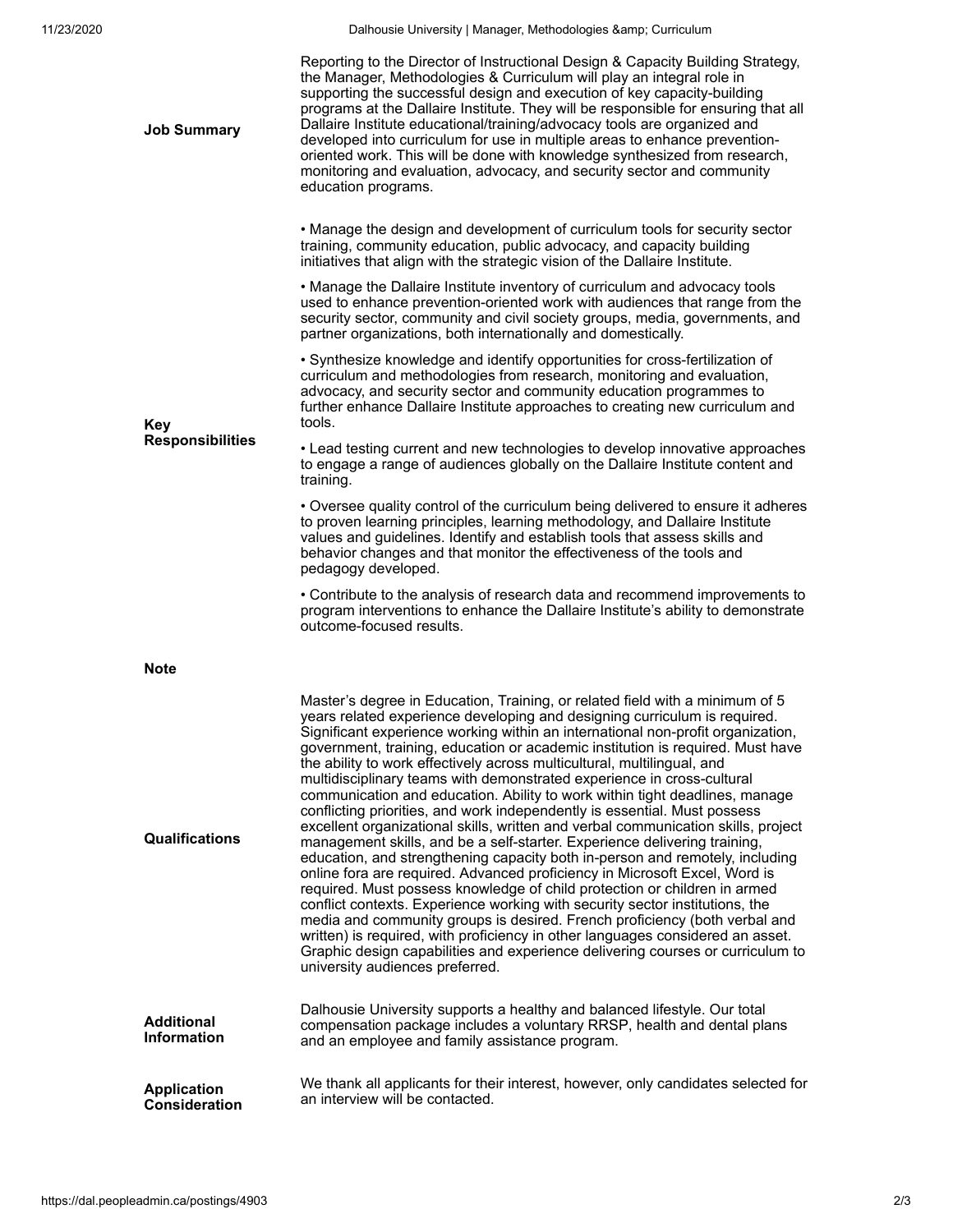11/23/2020 **Dalhousie University | Manager, Methodologies & amp**; Curriculum

| <b>Job Summary</b>                    | Reporting to the Director of Instructional Design & Capacity Building Strategy,<br>the Manager, Methodologies & Curriculum will play an integral role in<br>supporting the successful design and execution of key capacity-building<br>programs at the Dallaire Institute. They will be responsible for ensuring that all<br>Dallaire Institute educational/training/advocacy tools are organized and<br>developed into curriculum for use in multiple areas to enhance prevention-<br>oriented work. This will be done with knowledge synthesized from research,<br>monitoring and evaluation, advocacy, and security sector and community<br>education programs.                                                                                                                                                                                                                                                                                                                                                                                                                                                                                                                                                                                                                                                                                                                                                                |
|---------------------------------------|-----------------------------------------------------------------------------------------------------------------------------------------------------------------------------------------------------------------------------------------------------------------------------------------------------------------------------------------------------------------------------------------------------------------------------------------------------------------------------------------------------------------------------------------------------------------------------------------------------------------------------------------------------------------------------------------------------------------------------------------------------------------------------------------------------------------------------------------------------------------------------------------------------------------------------------------------------------------------------------------------------------------------------------------------------------------------------------------------------------------------------------------------------------------------------------------------------------------------------------------------------------------------------------------------------------------------------------------------------------------------------------------------------------------------------------|
| <b>Key</b><br><b>Responsibilities</b> | • Manage the design and development of curriculum tools for security sector<br>training, community education, public advocacy, and capacity building<br>initiatives that align with the strategic vision of the Dallaire Institute.                                                                                                                                                                                                                                                                                                                                                                                                                                                                                                                                                                                                                                                                                                                                                                                                                                                                                                                                                                                                                                                                                                                                                                                               |
|                                       | . Manage the Dallaire Institute inventory of curriculum and advocacy tools<br>used to enhance prevention-oriented work with audiences that range from the<br>security sector, community and civil society groups, media, governments, and<br>partner organizations, both internationally and domestically.                                                                                                                                                                                                                                                                                                                                                                                                                                                                                                                                                                                                                                                                                                                                                                                                                                                                                                                                                                                                                                                                                                                        |
|                                       | • Synthesize knowledge and identify opportunities for cross-fertilization of<br>curriculum and methodologies from research, monitoring and evaluation,<br>advocacy, and security sector and community education programmes to<br>further enhance Dallaire Institute approaches to creating new curriculum and<br>tools.                                                                                                                                                                                                                                                                                                                                                                                                                                                                                                                                                                                                                                                                                                                                                                                                                                                                                                                                                                                                                                                                                                           |
|                                       | • Lead testing current and new technologies to develop innovative approaches<br>to engage a range of audiences globally on the Dallaire Institute content and<br>training.                                                                                                                                                                                                                                                                                                                                                                                                                                                                                                                                                                                                                                                                                                                                                                                                                                                                                                                                                                                                                                                                                                                                                                                                                                                        |
|                                       | • Oversee quality control of the curriculum being delivered to ensure it adheres<br>to proven learning principles, learning methodology, and Dallaire Institute<br>values and guidelines. Identify and establish tools that assess skills and<br>behavior changes and that monitor the effectiveness of the tools and<br>pedagogy developed.                                                                                                                                                                                                                                                                                                                                                                                                                                                                                                                                                                                                                                                                                                                                                                                                                                                                                                                                                                                                                                                                                      |
|                                       | • Contribute to the analysis of research data and recommend improvements to<br>program interventions to enhance the Dallaire Institute's ability to demonstrate<br>outcome-focused results.                                                                                                                                                                                                                                                                                                                                                                                                                                                                                                                                                                                                                                                                                                                                                                                                                                                                                                                                                                                                                                                                                                                                                                                                                                       |
| <b>Note</b>                           |                                                                                                                                                                                                                                                                                                                                                                                                                                                                                                                                                                                                                                                                                                                                                                                                                                                                                                                                                                                                                                                                                                                                                                                                                                                                                                                                                                                                                                   |
| Qualifications                        | Master's degree in Education, Training, or related field with a minimum of 5<br>years related experience developing and designing curriculum is required.<br>Significant experience working within an international non-profit organization,<br>government, training, education or academic institution is required. Must have<br>the ability to work effectively across multicultural, multilingual, and<br>multidisciplinary teams with demonstrated experience in cross-cultural<br>communication and education. Ability to work within tight deadlines, manage<br>conflicting priorities, and work independently is essential. Must possess<br>excellent organizational skills, written and verbal communication skills, project<br>management skills, and be a self-starter. Experience delivering training,<br>education, and strengthening capacity both in-person and remotely, including<br>online fora are required. Advanced proficiency in Microsoft Excel, Word is<br>required. Must possess knowledge of child protection or children in armed<br>conflict contexts. Experience working with security sector institutions, the<br>media and community groups is desired. French proficiency (both verbal and<br>written) is required, with proficiency in other languages considered an asset.<br>Graphic design capabilities and experience delivering courses or curriculum to<br>university audiences preferred. |
| <b>Additional</b><br>Information      | Dalhousie University supports a healthy and balanced lifestyle. Our total<br>compensation package includes a voluntary RRSP, health and dental plans<br>and an employee and family assistance program.                                                                                                                                                                                                                                                                                                                                                                                                                                                                                                                                                                                                                                                                                                                                                                                                                                                                                                                                                                                                                                                                                                                                                                                                                            |
| <b>Application</b><br>Consideration   | We thank all applicants for their interest, however, only candidates selected for<br>an interview will be contacted.                                                                                                                                                                                                                                                                                                                                                                                                                                                                                                                                                                                                                                                                                                                                                                                                                                                                                                                                                                                                                                                                                                                                                                                                                                                                                                              |